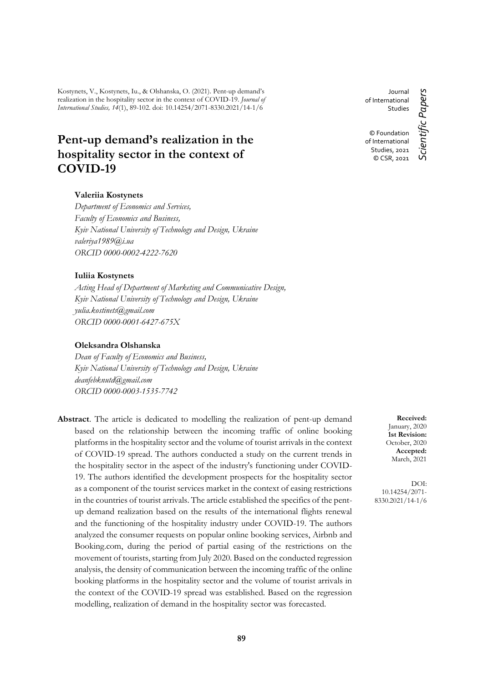Kostynets, V., Kostynets, Iu., & Olshanska, O. (2021). Pent-up demand's realization in the hospitality sector in the context of COVID-19. *Journal of International Studies, 14*(1), 89-102. doi: 10.14254/2071-8330.2021/14-1/6

# **Pent-up demand's realization in the hospitality sector in the context of COVID-19**

#### **Valeriia Kostynets**

*Department of Economics and Services, Faculty of Economics and Business, Kyiv National University of Technology and Design, Ukraine valeriya1989@i.ua ORCID 0000-0002-4222-7620*

#### **Iuliia Kostynets**

*Acting Head of Department of Marketing and Communicative Design, Kyiv National University of Technology and Design, Ukraine yulia.kostinets@gmail.com ORCID 0000-0001-6427-675X*

## **Oleksandra Olshanska**

*Dean of Faculty of Economics and Business, Kyiv National University of Technology and Design, Ukraine deanfebknutd@gmail.com ORCID 0000-0003-1535-7742*

**Abstract**. The article is dedicated to modelling the realization of pent-up demand based on the relationship between the incoming traffic of online booking platforms in the hospitality sector and the volume of tourist arrivals in the context of COVID-19 spread. The authors conducted a study on the current trends in the hospitality sector in the aspect of the industry's functioning under COVID-19. The authors identified the development prospects for the hospitality sector as a component of the tourist services market in the context of easing restrictions in the countries of tourist arrivals. The article established the specifics of the pentup demand realization based on the results of the international flights renewal and the functioning of the hospitality industry under COVID-19. The authors analyzed the consumer requests on popular online booking services, Airbnb and Booking.com, during the period of partial easing of the restrictions on the movement of tourists, starting from July 2020. Based on the conducted regression analysis, the density of communication between the incoming traffic of the online booking platforms in the hospitality sector and the volume of tourist arrivals in the context of the COVID-19 spread was established. Based on the regression modelling, realization of demand in the hospitality sector was forecasted.

Journal Scientific Papers *Scientific Papers* of International **Studies** © Foundation of International Studies, 2021 © CSR, 2021

> **Received:** January, 2020 **1st Revision:** October, 2020 **Accepted:** March, 2021

DOI: 10.14254/2071- 8330.2021/14-1/6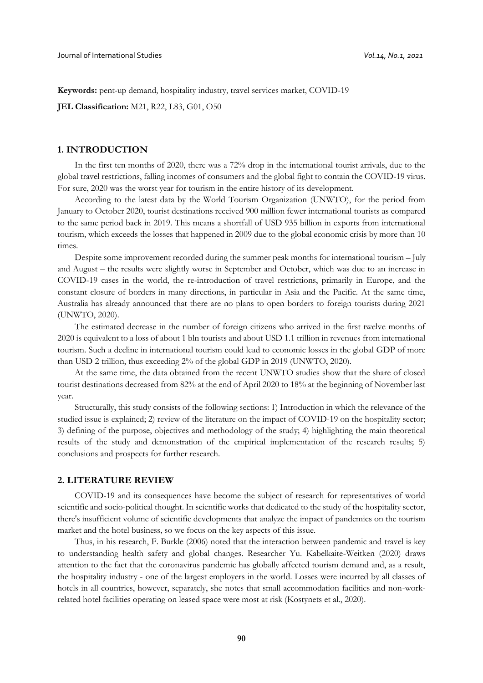**Keywords:** pent-up demand, hospitality industry, travel services market, COVID-19

**JEL Classification:** M21, R22, L83, G01, O50

## **1. INTRODUCTION**

In the first ten months of 2020, there was a 72% drop in the international tourist arrivals, due to the global travel restrictions, falling incomes of consumers and the global fight to contain the COVID-19 virus. For sure, 2020 was the worst year for tourism in the entire history of its development.

According to the latest data by the World Tourism Organization (UNWTO), for the period from January to October 2020, tourist destinations received 900 million fewer international tourists as compared to the same period back in 2019. This means a shortfall of USD 935 billion in exports from international tourism, which exceeds the losses that happened in 2009 due to the global economic crisis by more than 10 times.

Despite some improvement recorded during the summer peak months for international tourism – July and August – the results were slightly worse in September and October, which was due to an increase in COVID-19 cases in the world, the re-introduction of travel restrictions, primarily in Europe, and the constant closure of borders in many directions, in particular in Asia and the Pacific. At the same time, Australia has already announced that there are no plans to open borders to foreign tourists during 2021 (UNWTO, 2020).

The estimated decrease in the number of foreign citizens who arrived in the first twelve months of 2020 is equivalent to a loss of about 1 bln tourists and about USD 1.1 trillion in revenues from international tourism. Such a decline in international tourism could lead to economic losses in the global GDP of more than USD 2 trillion, thus exceeding 2% of the global GDP in 2019 (UNWTO, 2020).

At the same time, the data obtained from the recent UNWTO studies show that the share of closed tourist destinations decreased from 82% at the end of April 2020 to 18% at the beginning of November last year.

Structurally, this study consists of the following sections: 1) Introduction in which the relevance of the studied issue is explained; 2) review of the literature on the impact of COVID-19 on the hospitality sector; 3) defining of the purpose, objectives and methodology of the study; 4) highlighting the main theoretical results of the study and demonstration of the empirical implementation of the research results; 5) conclusions and prospects for further research.

#### **2. LITERATURE REVIEW**

COVID-19 and its consequences have become the subject of research for representatives of world scientific and socio-political thought. In scientific works that dedicated to the study of the hospitality sector, there's insufficient volume of scientific developments that analyze the impact of pandemics on the tourism market and the hotel business, so we focus on the key aspects of this issue.

Thus, in his research, F. Burkle (2006) noted that the interaction between pandemic and travel is key to understanding health safety and global changes. Researcher Yu. Kabelkaite-Weitken (2020) draws attention to the fact that the coronavirus pandemic has globally affected tourism demand and, as a result, the hospitality industry - one of the largest employers in the world. Losses were incurred by all classes of hotels in all countries, however, separately, she notes that small accommodation facilities and non-workrelated hotel facilities operating on leased space were most at risk (Kostynets et al., 2020).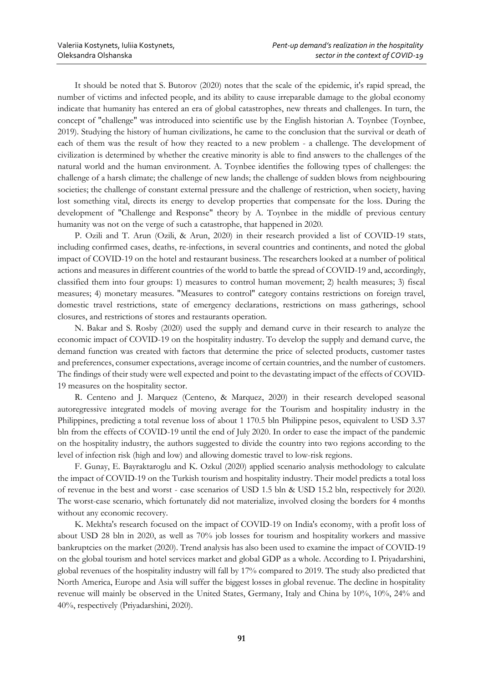It should be noted that S. Butorov (2020) notes that the scale of the epidemic, it's rapid spread, the number of victims and infected people, and its ability to cause irreparable damage to the global economy indicate that humanity has entered an era of global catastrophes, new threats and challenges. In turn, the concept of "challenge" was introduced into scientific use by the English historian A. Toynbee (Toynbee, 2019). Studying the history of human civilizations, he came to the conclusion that the survival or death of each of them was the result of how they reacted to a new problem - a challenge. The development of civilization is determined by whether the creative minority is able to find answers to the challenges of the natural world and the human environment. A. Toynbee identifies the following types of challenges: the challenge of a harsh climate; the challenge of new lands; the challenge of sudden blows from neighbouring societies; the challenge of constant external pressure and the challenge of restriction, when society, having lost something vital, directs its energy to develop properties that compensate for the loss. During the development of "Challenge and Response" theory by A. Toynbee in the middle of previous century humanity was not on the verge of such a catastrophe, that happened in 2020.

P. Ozili and T. Arun (Ozili, & Arun, 2020) in their research provided a list of COVID-19 stats, including confirmed cases, deaths, re-infections, in several countries and continents, and noted the global impact of COVID-19 on the hotel and restaurant business. The researchers looked at a number of political actions and measures in different countries of the world to battle the spread of COVID-19 and, accordingly, classified them into four groups: 1) measures to control human movement; 2) health measures; 3) fiscal measures; 4) monetary measures. "Measures to control" category contains restrictions on foreign travel, domestic travel restrictions, state of emergency declarations, restrictions on mass gatherings, school closures, and restrictions of stores and restaurants operation.

N. Bakar and S. Rosby (2020) used the supply and demand curve in their research to analyze the economic impact of COVID-19 on the hospitality industry. To develop the supply and demand curve, the demand function was created with factors that determine the price of selected products, customer tastes and preferences, consumer expectations, average income of certain countries, and the number of customers. The findings of their study were well expected and point to the devastating impact of the effects of COVID-19 measures on the hospitality sector.

R. Centeno and J. Marquez (Centeno, & Marquez, 2020) in their research developed seasonal autoregressive integrated models of moving average for the Tourism and hospitality industry in the Philippines, predicting a total revenue loss of about 1 170.5 bln Philippine pesos, equivalent to USD 3.37 bln from the effects of COVID-19 until the end of July 2020. In order to ease the impact of the pandemic on the hospitality industry, the authors suggested to divide the country into two regions according to the level of infection risk (high and low) and allowing domestic travel to low-risk regions.

F. Gunay, E. Bayraktaroglu and K. Ozkul (2020) applied scenario analysis methodology to calculate the impact of COVID-19 on the Turkish tourism and hospitality industry. Their model predicts a total loss of revenue in the best and worst - case scenarios of USD 1.5 bln & USD 15.2 bln, respectively for 2020. The worst-case scenario, which fortunately did not materialize, involved closing the borders for 4 months without any economic recovery.

K. Mekhta's research focused on the impact of COVID-19 on India's economy, with a profit loss of about USD 28 bln in 2020, as well as 70% job losses for tourism and hospitality workers and massive bankruptcies on the market (2020). Trend analysis has also been used to examine the impact of COVID-19 on the global tourism and hotel services market and global GDP as a whole. According to I. Priyadarshini, global revenues of the hospitality industry will fall by 17% compared to 2019. The study also predicted that North America, Europe and Asia will suffer the biggest losses in global revenue. The decline in hospitality revenue will mainly be observed in the United States, Germany, Italy and China by 10%, 10%, 24% and 40%, respectively (Priyadarshini, 2020).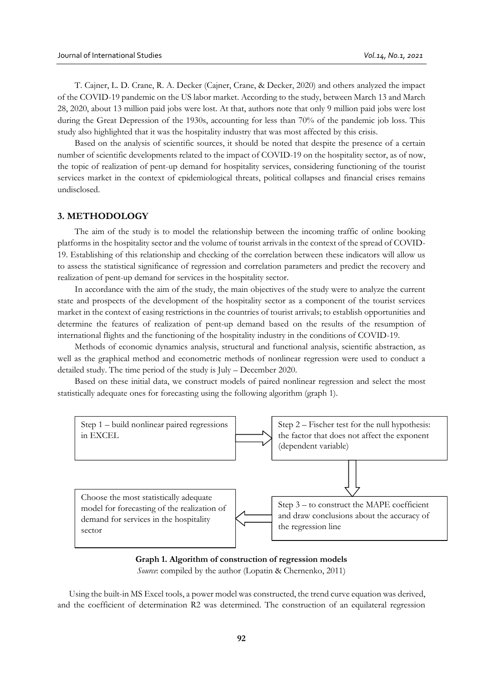T. Cajner, L. D. Crane, R. A. Decker (Cajner, Crane, & Decker, 2020) and others analyzed the impact of the COVID-19 pandemic on the US labor market. According to the study, between March 13 and March 28, 2020, about 13 million paid jobs were lost. At that, authors note that only 9 million paid jobs were lost during the Great Depression of the 1930s, accounting for less than 70% of the pandemic job loss. This study also highlighted that it was the hospitality industry that was most affected by this crisis.

Based on the analysis of scientific sources, it should be noted that despite the presence of a certain number of scientific developments related to the impact of COVID-19 on the hospitality sector, as of now, the topic of realization of pent-up demand for hospitality services, considering functioning of the tourist services market in the context of epidemiological threats, political collapses and financial crises remains undisclosed.

#### **3. METHODOLOGY**

The aim of the study is to model the relationship between the incoming traffic of online booking platforms in the hospitality sector and the volume of tourist arrivals in the context of the spread of COVID-19. Establishing of this relationship and checking of the correlation between these indicators will allow us to assess the statistical significance of regression and correlation parameters and predict the recovery and realization of pent-up demand for services in the hospitality sector.

In accordance with the aim of the study, the main objectives of the study were to analyze the current state and prospects of the development of the hospitality sector as a component of the tourist services market in the context of easing restrictions in the countries of tourist arrivals; to establish opportunities and determine the features of realization of pent-up demand based on the results of the resumption of international flights and the functioning of the hospitality industry in the conditions of COVID-19.

Methods of economic dynamics analysis, structural and functional analysis, scientific abstraction, as well as the graphical method and econometric methods of nonlinear regression were used to conduct a detailed study. The time period of the study is July – December 2020.

Based on these initial data, we construct models of paired nonlinear regression and select the most statistically adequate ones for forecasting using the following algorithm (graph 1).



## **Graph 1. Algorithm of construction of regression models**  *Source*: compiled by the author (Lopatin & Chernenko, 2011)

Using the built-in MS Excel tools, a power model was constructed, the trend curve equation was derived, and the coefficient of determination R2 was determined. The construction of an equilateral regression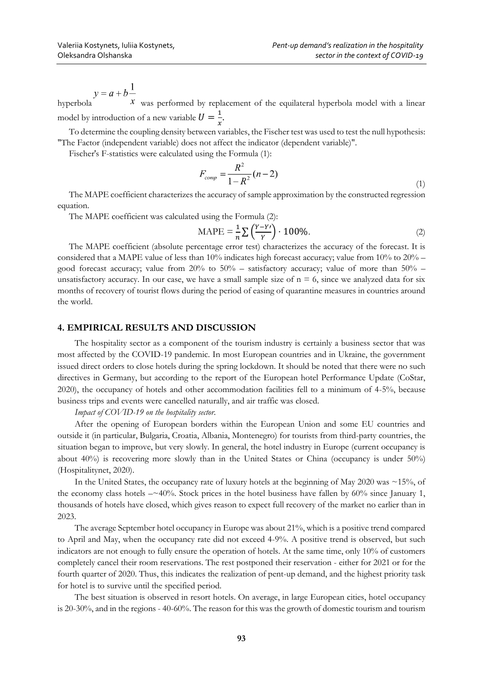$y = a + b \frac{1}{x}$  was performed by replacement of the equilateral hyperbola model with a linear model by introduction of a new variable  $U = \frac{1}{v}$  $\frac{1}{x}$ .

To determine the coupling density between variables, the Fischer test was used to test the null hypothesis: "The Factor (independent variable) does not affect the indicator (dependent variable)".

Fischer's F-statistics were calculated using the Formula (1):

$$
F_{comp} = \frac{R^2}{1 - R^2} (n - 2)
$$
\n(1)

The MAPE coefficient characterizes the accuracy of sample approximation by the constructed regression equation.

The MAPE coefficient was calculated using the Formula (2):

$$
\text{MAPE} = \frac{1}{n} \sum \left( \frac{Y - Y}{Y} \right) \cdot 100\% \tag{2}
$$

The MAPE coefficient (absolute percentage error test) characterizes the accuracy of the forecast. It is considered that a MAPE value of less than 10% indicates high forecast accuracy; value from 10% to 20% – good forecast accuracy; value from  $20\%$  to  $50\%$  – satisfactory accuracy; value of more than  $50\%$  – unsatisfactory accuracy. In our case, we have a small sample size of  $n = 6$ , since we analyzed data for six months of recovery of tourist flows during the period of easing of quarantine measures in countries around the world.

## **4. EMPIRICAL RESULTS AND DISCUSSION**

The hospitality sector as a component of the tourism industry is certainly a business sector that was most affected by the COVID-19 pandemic. In most European countries and in Ukraine, the government issued direct orders to close hotels during the spring lockdown. It should be noted that there were no such directives in Germany, but according to the report of the European hotel Performance Update (CoStar, 2020), the occupancy of hotels and other accommodation facilities fell to a minimum of 4-5%, because business trips and events were cancelled naturally, and air traffic was closed.

*Impact of COVID-19 on the hospitality sector.*

After the opening of European borders within the European Union and some EU countries and outside it (in particular, Bulgaria, Croatia, Albania, Montenegro) for tourists from third-party countries, the situation began to improve, but very slowly. In general, the hotel industry in Europe (current occupancy is about 40%) is recovering more slowly than in the United States or China (occupancy is under 50%) (Hospitalitynet, 2020).

In the United States, the occupancy rate of luxury hotels at the beginning of May 2020 was ~15%, of the economy class hotels  $-\sim 40\%$ . Stock prices in the hotel business have fallen by 60% since January 1, thousands of hotels have closed, which gives reason to expect full recovery of the market no earlier than in 2023.

The average September hotel occupancy in Europe was about 21%, which is a positive trend compared to April and May, when the occupancy rate did not exceed 4-9%. A positive trend is observed, but such indicators are not enough to fully ensure the operation of hotels. At the same time, only 10% of customers completely cancel their room reservations. The rest postponed their reservation - either for 2021 or for the fourth quarter of 2020. Thus, this indicates the realization of pent-up demand, and the highest priority task for hotel is to survive until the specified period.

The best situation is observed in resort hotels. On average, in large European cities, hotel occupancy is 20-30%, and in the regions - 40-60%. The reason for this was the growth of domestic tourism and tourism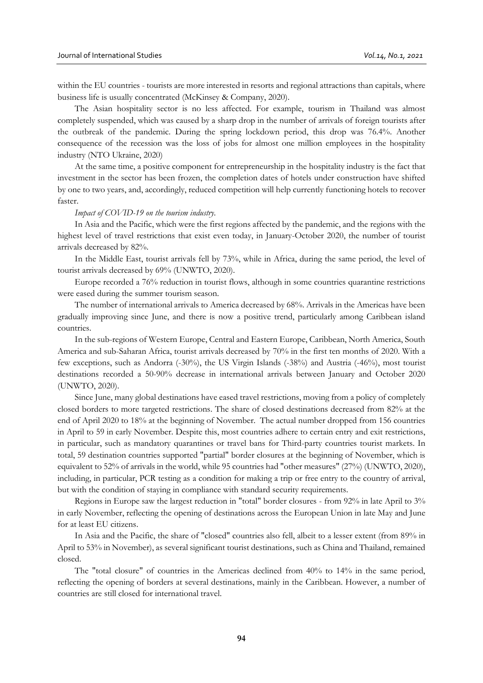within the EU countries - tourists are more interested in resorts and regional attractions than capitals, where business life is usually concentrated (McKinsey & Company, 2020).

The Asian hospitality sector is no less affected. For example, tourism in Thailand was almost completely suspended, which was caused by a sharp drop in the number of arrivals of foreign tourists after the outbreak of the pandemic. During the spring lockdown period, this drop was 76.4%. Another consequence of the recession was the loss of jobs for almost one million employees in the hospitality industry (NTO Ukraine, 2020)

At the same time, a positive component for entrepreneurship in the hospitality industry is the fact that investment in the sector has been frozen, the completion dates of hotels under construction have shifted by one to two years, and, accordingly, reduced competition will help currently functioning hotels to recover faster.

#### *Impact of COVID-19 on the tourism industry.*

In Asia and the Pacific, which were the first regions affected by the pandemic, and the regions with the highest level of travel restrictions that exist even today, in January-October 2020, the number of tourist arrivals decreased by 82%.

In the Middle East, tourist arrivals fell by 73%, while in Africa, during the same period, the level of tourist arrivals decreased by 69% (UNWTO, 2020).

Europe recorded a 76% reduction in tourist flows, although in some countries quarantine restrictions were eased during the summer tourism season.

The number of international arrivals to America decreased by 68%. Arrivals in the Americas have been gradually improving since June, and there is now a positive trend, particularly among Caribbean island countries.

In the sub-regions of Western Europe, Central and Eastern Europe, Caribbean, North America, South America and sub-Saharan Africa, tourist arrivals decreased by 70% in the first ten months of 2020. With a few exceptions, such as Andorra (-30%), the US Virgin Islands (-38%) and Austria (-46%), most tourist destinations recorded a 50-90% decrease in international arrivals between January and October 2020 (UNWTO, 2020).

Since June, many global destinations have eased travel restrictions, moving from a policy of completely closed borders to more targeted restrictions. The share of closed destinations decreased from 82% at the end of April 2020 to 18% at the beginning of November. The actual number dropped from 156 countries in April to 59 in early November. Despite this, most countries adhere to certain entry and exit restrictions, in particular, such as mandatory quarantines or travel bans for Third-party countries tourist markets. In total, 59 destination countries supported "partial" border closures at the beginning of November, which is equivalent to 52% of arrivals in the world, while 95 countries had "other measures" (27%) (UNWTO, 2020), including, in particular, PCR testing as a condition for making a trip or free entry to the country of arrival, but with the condition of staying in compliance with standard security requirements.

Regions in Europe saw the largest reduction in "total" border closures - from 92% in late April to 3% in early November, reflecting the opening of destinations across the European Union in late May and June for at least EU citizens.

In Asia and the Pacific, the share of "closed" countries also fell, albeit to a lesser extent (from 89% in April to 53% in November), as several significant tourist destinations, such as China and Thailand, remained closed.

The "total closure" of countries in the Americas declined from 40% to 14% in the same period, reflecting the opening of borders at several destinations, mainly in the Caribbean. However, a number of countries are still closed for international travel.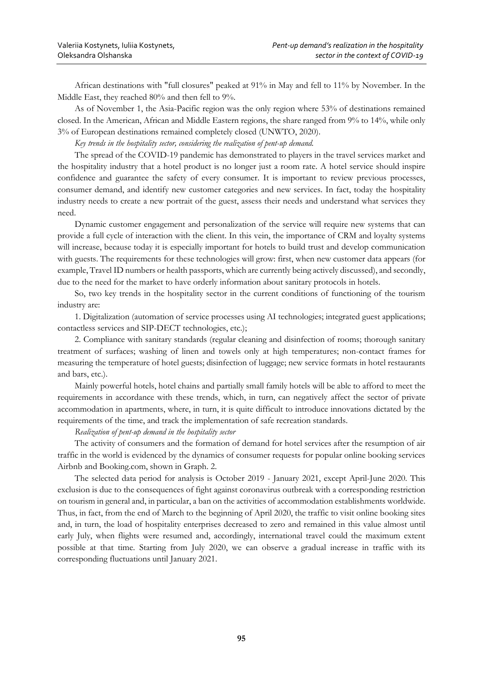African destinations with "full closures" peaked at 91% in May and fell to 11% by November. In the Middle East, they reached 80% and then fell to 9%.

As of November 1, the Asia-Pacific region was the only region where 53% of destinations remained closed. In the American, African and Middle Eastern regions, the share ranged from 9% to 14%, while only 3% of European destinations remained completely closed (UNWTO, 2020).

*Key trends in the hospitality sector, considering the realization of pent-up demand.*

The spread of the COVID-19 pandemic has demonstrated to players in the travel services market and the hospitality industry that a hotel product is no longer just a room rate. A hotel service should inspire confidence and guarantee the safety of every consumer. It is important to review previous processes, consumer demand, and identify new customer categories and new services. In fact, today the hospitality industry needs to create a new portrait of the guest, assess their needs and understand what services they need.

Dynamic customer engagement and personalization of the service will require new systems that can provide a full cycle of interaction with the client. In this vein, the importance of CRM and loyalty systems will increase, because today it is especially important for hotels to build trust and develop communication with guests. The requirements for these technologies will grow: first, when new customer data appears (for example, Travel ID numbers or health passports, which are currently being actively discussed), and secondly, due to the need for the market to have orderly information about sanitary protocols in hotels.

So, two key trends in the hospitality sector in the current conditions of functioning of the tourism industry are:

1. Digitalization (automation of service processes using AI technologies; integrated guest applications; contactless services and SIP-DECT technologies, etc.);

2. Compliance with sanitary standards (regular cleaning and disinfection of rooms; thorough sanitary treatment of surfaces; washing of linen and towels only at high temperatures; non-contact frames for measuring the temperature of hotel guests; disinfection of luggage; new service formats in hotel restaurants and bars, etc.).

Mainly powerful hotels, hotel chains and partially small family hotels will be able to afford to meet the requirements in accordance with these trends, which, in turn, can negatively affect the sector of private accommodation in apartments, where, in turn, it is quite difficult to introduce innovations dictated by the requirements of the time, and track the implementation of safe recreation standards.

## *Realization of pent-up demand in the hospitality sector*

The activity of consumers and the formation of demand for hotel services after the resumption of air traffic in the world is evidenced by the dynamics of consumer requests for popular online booking services Airbnb and Booking.com, shown in Graph. 2.

The selected data period for analysis is October 2019 - January 2021, except April-June 2020. This exclusion is due to the consequences of fight against coronavirus outbreak with a corresponding restriction on tourism in general and, in particular, a ban on the activities of accommodation establishments worldwide. Thus, in fact, from the end of March to the beginning of April 2020, the traffic to visit online booking sites and, in turn, the load of hospitality enterprises decreased to zero and remained in this value almost until early July, when flights were resumed and, accordingly, international travel could the maximum extent possible at that time. Starting from July 2020, we can observe a gradual increase in traffic with its corresponding fluctuations until January 2021.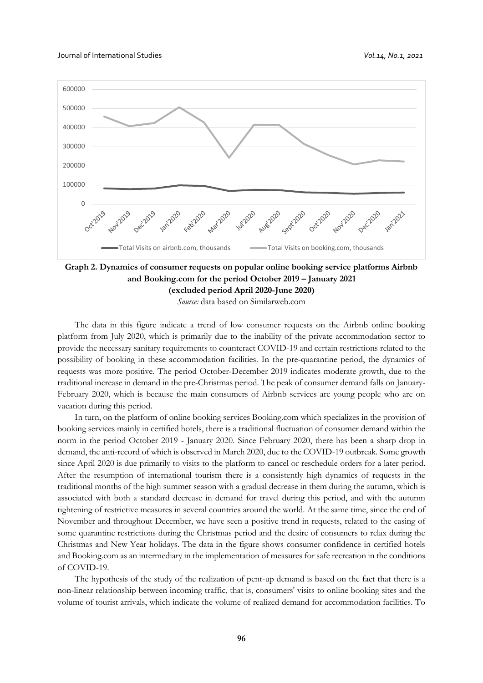

**Graph 2. Dynamics of consumer requests on popular online booking service platforms Airbnb and Booking.com for the period October 2019 – January 2021 (excluded period April 2020-June 2020)**

*Source:* data based on Similarweb.com

The data in this figure indicate a trend of low consumer requests on the Airbnb online booking platform from July 2020, which is primarily due to the inability of the private accommodation sector to provide the necessary sanitary requirements to counteract COVID-19 and certain restrictions related to the possibility of booking in these accommodation facilities. In the pre-quarantine period, the dynamics of requests was more positive. The period October-December 2019 indicates moderate growth, due to the traditional increase in demand in the pre-Christmas period. The peak of consumer demand falls on January-February 2020, which is because the main consumers of Airbnb services are young people who are on vacation during this period.

In turn, on the platform of online booking services Booking.com which specializes in the provision of booking services mainly in certified hotels, there is a traditional fluctuation of consumer demand within the norm in the period October 2019 - January 2020. Since February 2020, there has been a sharp drop in demand, the anti-record of which is observed in March 2020, due to the COVID-19 outbreak. Some growth since April 2020 is due primarily to visits to the platform to cancel or reschedule orders for a later period. After the resumption of international tourism there is a consistently high dynamics of requests in the traditional months of the high summer season with a gradual decrease in them during the autumn, which is associated with both a standard decrease in demand for travel during this period, and with the autumn tightening of restrictive measures in several countries around the world. At the same time, since the end of November and throughout December, we have seen a positive trend in requests, related to the easing of some quarantine restrictions during the Christmas period and the desire of consumers to relax during the Christmas and New Year holidays. The data in the figure shows consumer confidence in certified hotels and Booking.com as an intermediary in the implementation of measures for safe recreation in the conditions of COVID-19.

The hypothesis of the study of the realization of pent-up demand is based on the fact that there is a non-linear relationship between incoming traffic, that is, consumers' visits to online booking sites and the volume of tourist arrivals, which indicate the volume of realized demand for accommodation facilities. To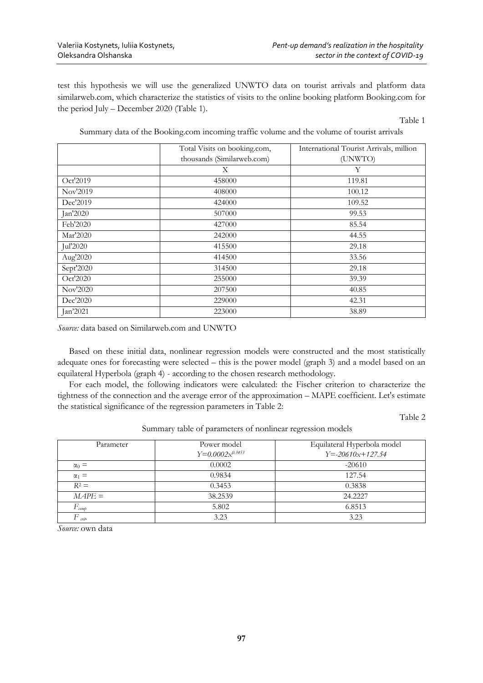test this hypothesis we will use the generalized UNWTO data on tourist arrivals and platform data similarweb.com, which characterize the statistics of visits to the online booking platform Booking.com for the period July – December 2020 (Table 1).

Table 1

|  | Summary data of the Booking.com incoming traffic volume and the volume of tourist arrivals |  |  |  |  |  |
|--|--------------------------------------------------------------------------------------------|--|--|--|--|--|
|  |                                                                                            |  |  |  |  |  |
|  |                                                                                            |  |  |  |  |  |
|  |                                                                                            |  |  |  |  |  |

|           | Total Visits on booking.com, | International Tourist Arrivals, million |
|-----------|------------------------------|-----------------------------------------|
|           | thousands (Similarweb.com)   | (UNWTO)                                 |
|           | X                            | Y                                       |
| Oct'2019  | 458000                       | 119.81                                  |
| Nov'2019  | 408000                       | 100.12                                  |
| Dec'2019  | 424000                       | 109.52                                  |
| Jan'2020  | 507000                       | 99.53                                   |
| Feb'2020  | 427000                       | 85.54                                   |
| Mar'2020  | 242000                       | 44.55                                   |
| Jul'2020  | 415500                       | 29.18                                   |
| Aug'2020  | 414500                       | 33.56                                   |
| Sept'2020 | 314500                       | 29.18                                   |
| Oct'2020  | 255000                       | 39.39                                   |
| Nov'2020  | 207500                       | 40.85                                   |
| Dec'2020  | 229000                       | 42.31                                   |
| Jan'2021  | 223000                       | 38.89                                   |

*Source:* data based on Similarweb.com and UNWTO

Based on these initial data, nonlinear regression models were constructed and the most statistically adequate ones for forecasting were selected – this is the power model (graph 3) and a model based on an equilateral Hyperbola (graph 4) - according to the chosen research methodology.

For each model, the following indicators were calculated: the Fischer criterion to characterize the tightness of the connection and the average error of the approximation – MAPE coefficient. Let's estimate the statistical significance of the regression parameters in Table 2:

Table 2

| Parameter                | Power model<br>$Y=0.0002x^{0.3453}$ | Equilateral Hyperbola model<br>$Y = -20610x + 127.54$ |
|--------------------------|-------------------------------------|-------------------------------------------------------|
| $\alpha_0 =$             | 0.0002                              | $-20610$                                              |
| $\alpha_1 =$             | 0.9834                              | 127.54                                                |
| $R^2 =$                  | 0.3453                              | 0.3838                                                |
| $MAPE =$                 | 38.2539                             | 24.2227                                               |
| $F_{\textit{comp}}$      | 5.802                               | 6.8513                                                |
| $F_{\alpha\dot{\alpha}}$ | 3.23                                | 3.23                                                  |

Summary table of parameters of nonlinear regression models

*Source:* own data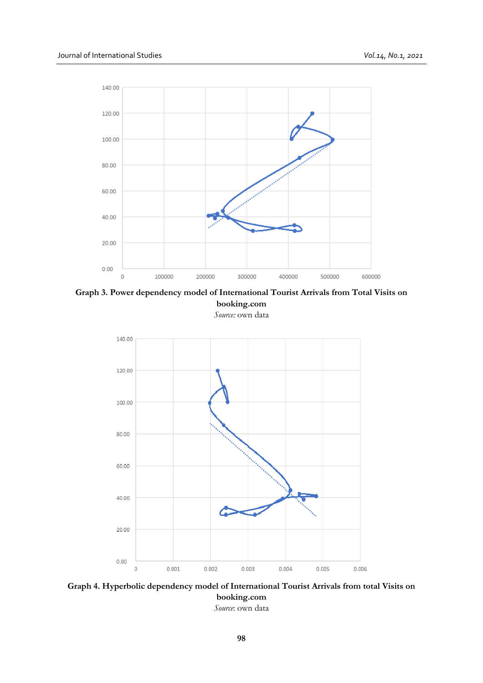

**Graph 3. Power dependency model of International Tourist Arrivals from Total Visits on booking.com**

*Source:* own data



**Graph 4. Hyperbolic dependency model of International Tourist Arrivals from total Visits on booking.com** *Source*: own data

**98**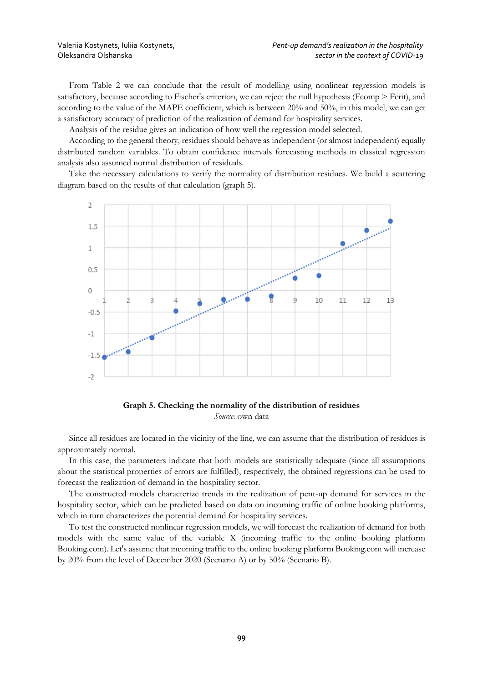From Table 2 we can conclude that the result of modelling using nonlinear regression models is satisfactory, because according to Fischer's criterion, we can reject the null hypothesis (Fcomp > Fcrit), and according to the value of the MAPE coefficient, which is between 20% and 50%, in this model, we can get a satisfactory accuracy of prediction of the realization of demand for hospitality services.

Analysis of the residue gives an indication of how well the regression model selected.

According to the general theory, residues should behave as independent (or almost independent) equally distributed random variables. To obtain confidence intervals forecasting methods in classical regression analysis also assumed normal distribution of residuals.

Take the necessary calculations to verify the normality of distribution residues. We build a scattering diagram based on the results of that calculation (graph 5).





Since all residues are located in the vicinity of the line, we can assume that the distribution of residues is approximately normal.

In this case, the parameters indicate that both models are statistically adequate (since all assumptions about the statistical properties of errors are fulfilled), respectively, the obtained regressions can be used to forecast the realization of demand in the hospitality sector.

The constructed models characterize trends in the realization of pent-up demand for services in the hospitality sector, which can be predicted based on data on incoming traffic of online booking platforms, which in turn characterizes the potential demand for hospitality services.

To test the constructed nonlinear regression models, we will forecast the realization of demand for both models with the same value of the variable X (incoming traffic to the online booking platform Booking.com). Let's assume that incoming traffic to the online booking platform Booking.com will increase by 20% from the level of December 2020 (Scenario A) or by 50% (Scenario B).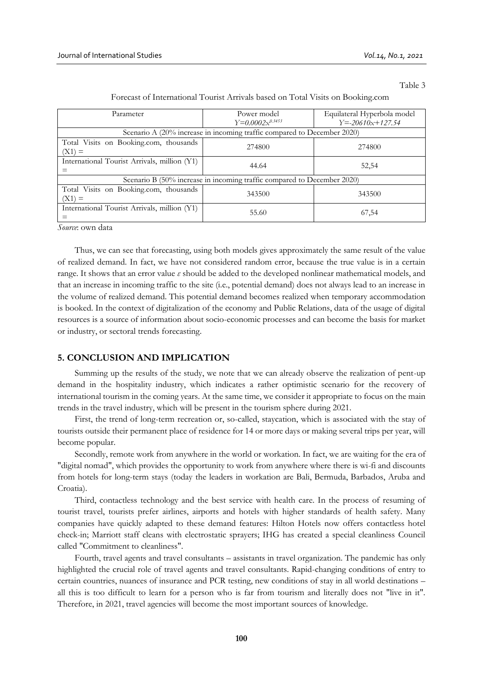Table 3

| Parameter                                                               | Power model          | Equilateral Hyperbola model |  |  |  |  |
|-------------------------------------------------------------------------|----------------------|-----------------------------|--|--|--|--|
|                                                                         | $Y=0.0002x^{0.3453}$ | $Y = -20610x + 127.54$      |  |  |  |  |
| Scenario A (20% increase in incoming traffic compared to December 2020) |                      |                             |  |  |  |  |
| Total Visits on Booking.com, thousands                                  | 274800               | 274800                      |  |  |  |  |
| $(X1) =$                                                                |                      |                             |  |  |  |  |
| International Tourist Arrivals, million (Y1)                            | 44.64                | 52,54                       |  |  |  |  |
|                                                                         |                      |                             |  |  |  |  |
| Scenario B (50% increase in incoming traffic compared to December 2020) |                      |                             |  |  |  |  |
| Total Visits on Booking.com, thousands                                  | 343500               | 343500                      |  |  |  |  |
| $(X1) =$                                                                |                      |                             |  |  |  |  |
| International Tourist Arrivals, million (Y1)                            | 55.60                | 67,54                       |  |  |  |  |
|                                                                         |                      |                             |  |  |  |  |

Forecast of International Tourist Arrivals based on Total Visits on Booking.com

*Source*: own data

Thus, we can see that forecasting, using both models gives approximately the same result of the value of realized demand. In fact, we have not considered random error, because the true value is in a certain range. It shows that an error value *ε* should be added to the developed nonlinear mathematical models, and that an increase in incoming traffic to the site (i.e., potential demand) does not always lead to an increase in the volume of realized demand. This potential demand becomes realized when temporary accommodation is booked. In the context of digitalization of the economy and Public Relations, data of the usage of digital resources is a source of information about socio-economic processes and can become the basis for market or industry, or sectoral trends forecasting.

#### **5. CONCLUSION AND IMPLICATION**

Summing up the results of the study, we note that we can already observe the realization of pent-up demand in the hospitality industry, which indicates a rather optimistic scenario for the recovery of international tourism in the coming years. At the same time, we consider it appropriate to focus on the main trends in the travel industry, which will be present in the tourism sphere during 2021.

First, the trend of long-term recreation or, so-called, staycation, which is associated with the stay of tourists outside their permanent place of residence for 14 or more days or making several trips per year, will become popular.

Secondly, remote work from anywhere in the world or workation. In fact, we are waiting for the era of "digital nomad", which provides the opportunity to work from anywhere where there is wi-fi and discounts from hotels for long-term stays (today the leaders in workation are Bali, Bermuda, Barbados, Aruba and Croatia).

Third, contactless technology and the best service with health care. In the process of resuming of tourist travel, tourists prefer airlines, airports and hotels with higher standards of health safety. Many companies have quickly adapted to these demand features: Hilton Hotels now offers contactless hotel check-in; Marriott staff cleans with electrostatic sprayers; IHG has created a special cleanliness Council called "Commitment to cleanliness".

Fourth, travel agents and travel consultants – assistants in travel organization. The pandemic has only highlighted the crucial role of travel agents and travel consultants. Rapid-changing conditions of entry to certain countries, nuances of insurance and PCR testing, new conditions of stay in all world destinations – all this is too difficult to learn for a person who is far from tourism and literally does not "live in it". Therefore, in 2021, travel agencies will become the most important sources of knowledge.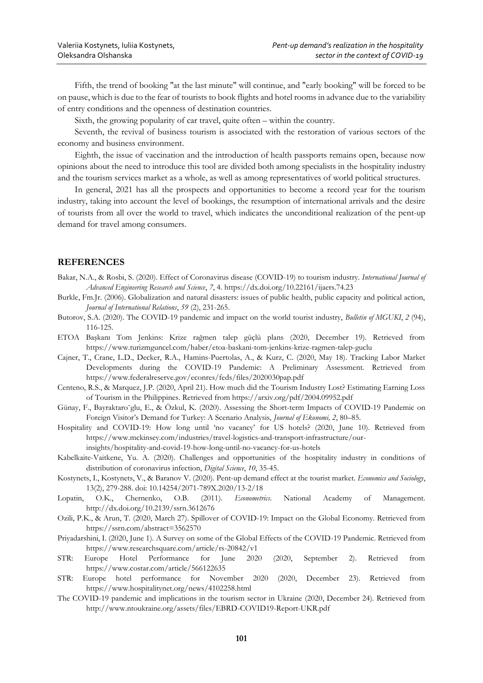Fifth, the trend of booking "at the last minute" will continue, and "early booking" will be forced to be on pause, which is due to the fear of tourists to book flights and hotel rooms in advance due to the variability of entry conditions and the openness of destination countries.

Sixth, the growing popularity of car travel, quite often – within the country.

Seventh, the revival of business tourism is associated with the restoration of various sectors of the economy and business environment.

Eighth, the issue of vaccination and the introduction of health passports remains open, because now opinions about the need to introduce this tool are divided both among specialists in the hospitality industry and the tourism services market as a whole, as well as among representatives of world political structures.

In general, 2021 has all the prospects and opportunities to become a record year for the tourism industry, taking into account the level of bookings, the resumption of international arrivals and the desire of tourists from all over the world to travel, which indicates the unconditional realization of the pent-up demand for travel among consumers.

## **REFERENCES**

Bakar, N.A., & Rosbi, S. (2020). Effect of Coronavirus disease (COVID-19) to tourism industry. *International Journal of Advanced Engineering Research and Science*, *7*, 4. https://dx.doi.org/10.22161/ijaers.74.23

- Burkle, Fm.Jr. (2006). Globalization and natural disasters: issues of public health, public capacity and political action, *Journal of International Relations*, *59* (2), 231-265.
- Butorov, S.A. (2020). The COVID-19 pandemic and impact on the world tourist industry, *Bulletin of MGUKI*, *2* (94), 116-125.
- ETOA Başkanı Tom Jenkins: Krize rağmen talep güçlü plans (2020, December 19). Retrieved from https://www.turizmguncel.com/haber/etoa-baskani-tom-jenkins-krize-ragmen-talep-guclu
- Cajner, T., Crane, L.D., Decker, R.A., Hamins-Puertolas, A., & Kurz, C. (2020, May 18). Tracking Labor Market Developments during the COVID-19 Pandemic: A Preliminary Assessment. Retrieved from https://www.federalreserve.gov/econres/feds/files/2020030pap.pdf
- Centeno, R.S., & Marquez, J.P. (2020, April 21). How much did the Tourism Industry Lost? Estimating Earning Loss of Tourism in the Philippines. Retrieved from https://arxiv.org/pdf/2004.09952.pdf
- Günay, F., Bayraktaro˘glu, E., & Özkul, K. (2020). Assessing the Short-term Impacts of COVID-19 Pandemic on Foreign Visitor's Demand for Turkey: A Scenario Analysis, *Journal of Ekonomi, 2*, 80–85.
- Hospitality and COVID-19: How long until 'no vacancy' for US hotels? (2020, June 10). Retrieved from https://www.mckinsey.com/industries/travel-logistics-and-transport-infrastructure/ourinsights/hospitality-and-covid-19-how-long-until-no-vacancy-for-us-hotels
- Kabelkaite-Vaitkene, Yu. A. (2020). Challenges and opportunities of the hospitality industry in conditions of distribution of coronavirus infection, *Digital Science*, *10*, 35-45.
- Kostynets, I., Kostynets, V., & Baranov V. (2020). Pent-up demand effect at the tourist market. *Economics and Sociology*, 13(2), 279-288. doi: 10.14254/2071-789X.2020/13-2/18
- Lopatin, O.K., Chernenko, O.B. (2011). *Econometrics*. National Academy of Management. http://dx.doi.org/10.2139/ssrn.3612676
- Ozili, P.K., & Arun, T. (2020, March 27). Spillover of COVID-19: Impact on the Global Economy. Retrieved from https://ssrn.com/abstract=3562570
- Priyadarshini, I. (2020, June 1). A Survey on some of the Global Effects of the COVID-19 Pandemic. Retrieved from https://www.researchsquare.com/article/rs-20842/v1
- STR: Europe Hotel Performance for June 2020 (2020, September 2). Retrieved from https://www.costar.com/article/566122635
- STR: Europe hotel performance for November 2020 (2020, December 23). Retrieved from https://www.hospitalitynet.org/news/4102258.html
- The COVID-19 pandemic and implications in the tourism sector in Ukraine (2020, December 24). Retrieved from http://www.ntoukraine.org/assets/files/EBRD-COVID19-Report-UKR.pdf